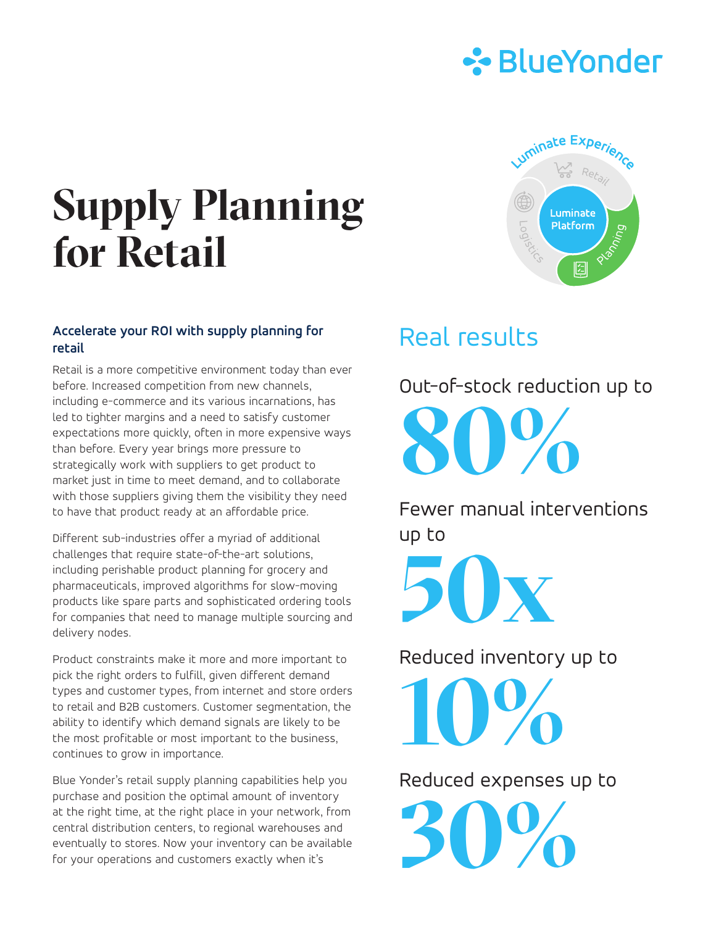

uminate Experie

Luminate Platform

妇

# **Supply Planning for Retail**

#### **Accelerate your ROI with supply planning for retail**

Retail is a more competitive environment today than ever before. Increased competition from new channels, including e-commerce and its various incarnations, has led to tighter margins and a need to satisfy customer expectations more quickly, often in more expensive ways than before. Every year brings more pressure to strategically work with suppliers to get product to market just in time to meet demand, and to collaborate with those suppliers giving them the visibility they need to have that product ready at an affordable price.

Different sub-industries offer a myriad of additional challenges that require state-of-the-art solutions, including perishable product planning for grocery and pharmaceuticals, improved algorithms for slow-moving products like spare parts and sophisticated ordering tools for companies that need to manage multiple sourcing and delivery nodes.

Product constraints make it more and more important to pick the right orders to fulfill, given different demand types and customer types, from internet and store orders to retail and B2B customers. Customer segmentation, the ability to identify which demand signals are likely to be the most profitable or most important to the business, continues to grow in importance.

Blue Yonder's retail supply planning capabilities help you purchase and position the optimal amount of inventory at the right time, at the right place in your network, from central distribution centers, to regional warehouses and eventually to stores. Now your inventory can be available for your operations and customers exactly when it's

## Real results

Out-of-stock reduction up to **80%**

Fewer manual interventions up to

**50x**

Reduced inventory up to

**10%**

Reduced expenses up to

**30%**